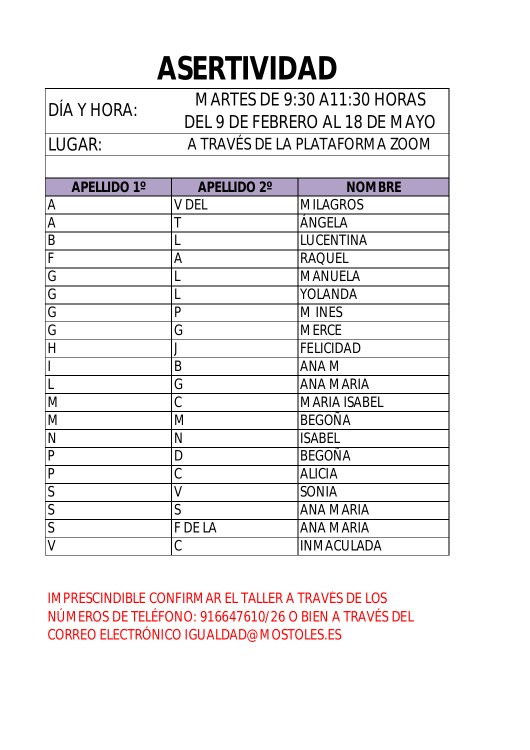## **ASERTIVIDAD**

LUGAR: DÍA Y HORA: MARTES DE 9:30 A11:30 HORAS DEL 9 DE FEBRERO AL 18 DE MAYO A TRAVÉS DE LA PLATAFORMA ZOOM

| <b>APELLIDO 1°</b>       | <b>APELLIDO 2°</b> | <b>NOMBRE</b>       |
|--------------------------|--------------------|---------------------|
| A                        | <b>V DEL</b>       | <b>MILAGROS</b>     |
| A                        | Τ                  | ÁNGELA              |
| B                        | L                  | <b>LUCENTINA</b>    |
| F                        | A                  | <b>RAQUEL</b>       |
| G                        | L                  | <b>MANUELA</b>      |
| G                        | L                  | YOLANDA             |
| $\overline{G}$           | P                  | <b>MINES</b>        |
| G                        | G                  | <b>MERCE</b>        |
| H                        | J                  | <b>FELICIDAD</b>    |
| $\overline{\phantom{a}}$ | B                  | <b>ANAM</b>         |
| $\overline{L}$           | G                  | <b>ANA MARIA</b>    |
| M                        | C                  | <b>MARIA ISABEL</b> |
| M                        | M                  | <b>BEGOÑA</b>       |
| $\mathsf{N}$             | N                  | <b>ISABEL</b>       |
| P                        | D                  | <b>BEGOÑA</b>       |
| $\overline{P}$           | C                  | <b>ALICIA</b>       |
| $\mathsf{S}$             | V                  | <b>SONIA</b>        |
| $\mathsf{S}$             | $\mathsf{S}$       | <b>ANA MARIA</b>    |
| S                        | F DE LA            | <b>ANA MARIA</b>    |
| $\vee$                   | C                  | <b>INMACULADA</b>   |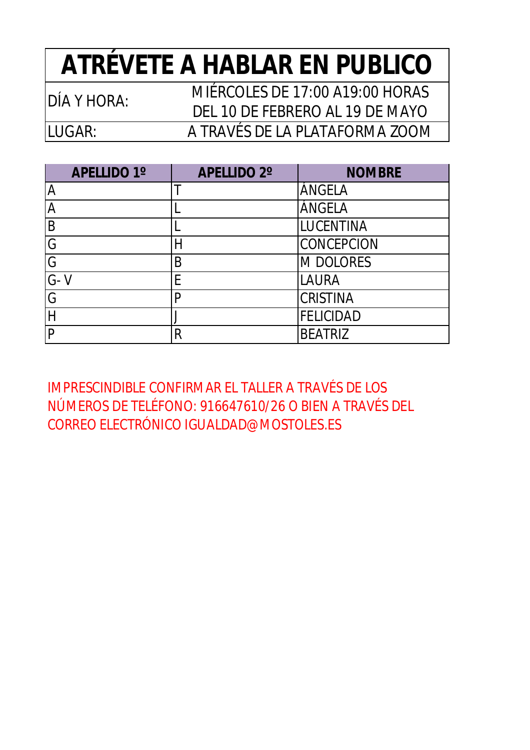### **ATRÉVETE A HABLAR EN PUBLICO**

LUGAR:

DÍA Y HORA: MIÉRCOLES DE 17:00 A19:00 HORAS DEL 10 DE FEBRERO AL 19 DE MAYO A TRAVÉS DE LA PLATAFORMA ZOOM

| <b>APELLIDO 1°</b> | <b>APELLIDO 2°</b> | <b>NOMBRE</b>     |
|--------------------|--------------------|-------------------|
| A                  |                    | ÁNGELA            |
|                    |                    | ÁNGELA            |
| B                  |                    | LUCENTINA         |
| G                  |                    | <b>CONCEPCION</b> |
| G                  | B                  | M DOLORES         |
| $G - V$            | E                  | <b>LAURA</b>      |
| G                  | p                  | <b>CRISTINA</b>   |
|                    |                    | <b>FELICIDAD</b>  |
| P                  | R                  | <b>BEATRIZ</b>    |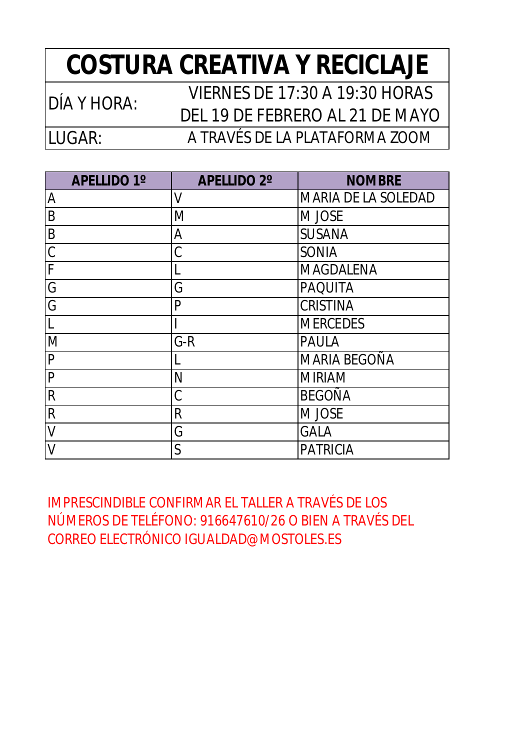### **COSTURA CREATIVA Y RECICLAJE**

| DÍA Y HORA: | <b>VIERNES DE 17:30 A 19:30 HORAS</b> |
|-------------|---------------------------------------|
|             | DEL 19 DE FEBRERO AL 21 DE MAYO       |
| ILUGAR: I   | A TRAVÉS DE LA PLATAFORMA ZOOM        |

| <b>APELLIDO 1°</b> | <b>APELLIDO 2°</b> | <b>NOMBRE</b>       |
|--------------------|--------------------|---------------------|
| $\overline{A}$     | V                  | MARIA DE LA SOLEDAD |
| B                  | M                  | M JOSE              |
| $\overline{B}$     | A                  | <b>SUSANA</b>       |
| $\overline{C}$     | Ć                  | <b>SONIA</b>        |
| $\overline{F}$     |                    | <b>MAGDALENA</b>    |
| $\overline{G}$     | G                  | <b>PAQUITA</b>      |
| G                  | P                  | <b>CRISTINA</b>     |
| ١L                 |                    | <b>MERCEDES</b>     |
| M                  | $G-R$              | <b>PAULA</b>        |
| $\overline{P}$     |                    | <b>MARIA BEGOÑA</b> |
| P                  | N                  | <b>MIRIAM</b>       |
| $\overline{R}$     | C                  | <b>BEGOÑA</b>       |
| $\mathsf{R}$       | $\mathsf{R}$       | M JOSE              |
| $\mathsf{V}$       | G                  | <b>GALA</b>         |
| $\vee$             | $\mathsf{S}$       | <b>PATRICIA</b>     |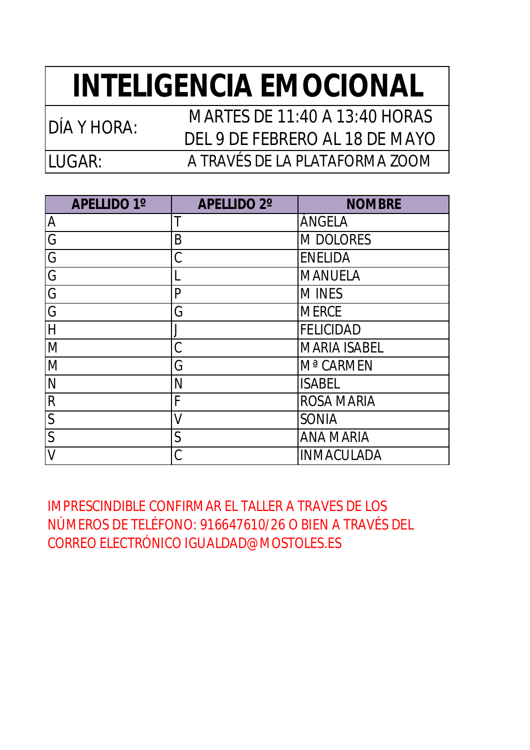### **INTELIGENCIA EMOCIONAL**

LUGAR: DÍA Y HORA: MARTES DE 11:40 A 13:40 HORAS DEL 9 DE FEBRERO AL 18 DE MAYO A TRAVÉS DE LA PLATAFORMA ZOOM

| <b>APELLIDO 1°</b> | <b>APELLIDO 2°</b> | <b>NOMBRE</b>         |
|--------------------|--------------------|-----------------------|
| A                  | T                  | ÁNGELA                |
| G                  | B                  | <b>M DOLORES</b>      |
| G                  | C                  | <b>ENELIDA</b>        |
| G                  |                    | <b>MANUELA</b>        |
| G                  | P                  | <b>MINES</b>          |
| G                  | G                  | <b>MERCE</b>          |
| $\overline{H}$     | J                  | <b>FELICIDAD</b>      |
| M                  | C                  | <b>MARIA ISABEL</b>   |
| M                  | G                  | M <sup>a</sup> CARMEN |
| N                  | N                  | <b>ISABEL</b>         |
| $\mathsf{R}$       | F                  | <b>ROSA MARIA</b>     |
| $\mathsf{S}$       | V                  | <b>SONIA</b>          |
| $\overline{S}$     | $\mathsf{S}$       | <b>ANA MARIA</b>      |
|                    | C                  | <b>INMACULADA</b>     |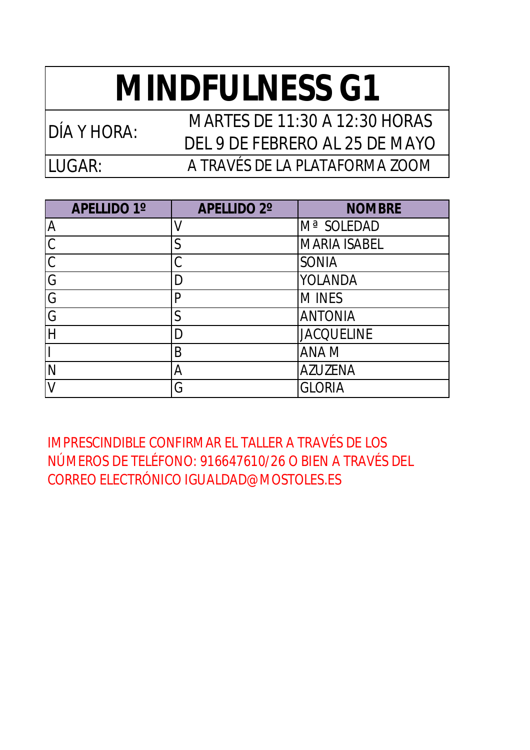# **MINDFULNESS G1**

LUGAR:

DÍA Y HORA: MARTES DE 11:30 A 12:30 HORAS DEL 9 DE FEBRERO AL 25 DE MAYO A TRAVÉS DE LA PLATAFORMA ZOOM

| <b>APELLIDO 1º</b> | <b>APELLIDO 2°</b> | <b>NOMBRE</b>       |
|--------------------|--------------------|---------------------|
| A                  |                    | Mª SOLEDAD          |
| $\mathcal{C}$      | S                  | <b>MARIA ISABEL</b> |
| $\mathcal{C}$      | C                  | <b>SONIA</b>        |
| G                  | D                  | <b>YOLANDA</b>      |
| G                  | P                  | <b>MINES</b>        |
| G                  | $\mathsf S$        | <b>ANTONIA</b>      |
|                    | D                  | <b>JACQUELINE</b>   |
|                    | B                  | <b>ANAM</b>         |
|                    | A                  | <b>AZUZENA</b>      |
|                    | G                  | <b>GLORIA</b>       |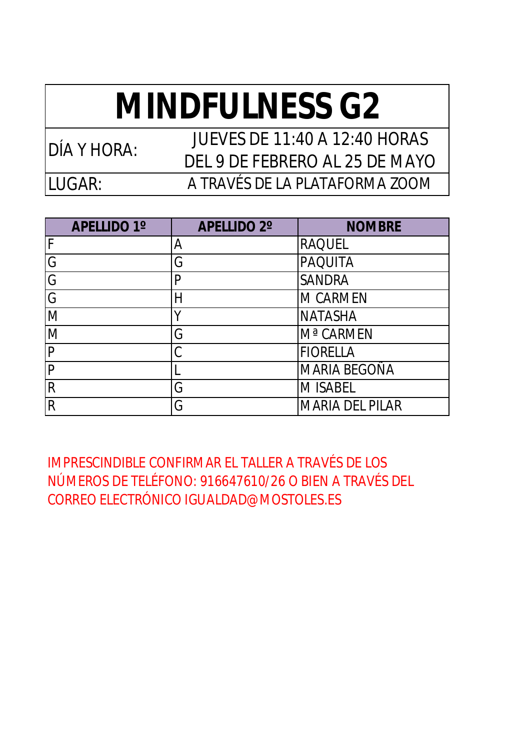# **MINDFULNESS G2**

LUGAR:

DÍA Y HORA: JUEVES DE 11:40 A 12:40 HORAS DEL 9 DE FEBRERO AL 25 DE MAYO A TRAVÉS DE LA PLATAFORMA ZOOM

| <b>APELLIDO 1°</b>      | <b>APELLIDO 2°</b> | <b>NOMBRE</b>          |
|-------------------------|--------------------|------------------------|
| F                       | A                  | <b>RAQUEL</b>          |
| G                       | G                  | <b>PAQUITA</b>         |
| G                       | P                  | <b>SANDRA</b>          |
| G                       | Н                  | <b>M CARMEN</b>        |
| M                       | Υ                  | <b>NATASHA</b>         |
| M                       | G                  | M <sup>a</sup> CARMEN  |
| $\mathsf{P}$            | C                  | <b>FIORELLA</b>        |
| $\overline{P}$          |                    | <b>MARIA BEGOÑA</b>    |
| $\overline{\mathsf{R}}$ | G                  | <b>M ISABEL</b>        |
| $\overline{R}$          | G                  | <b>MARIA DEL PILAR</b> |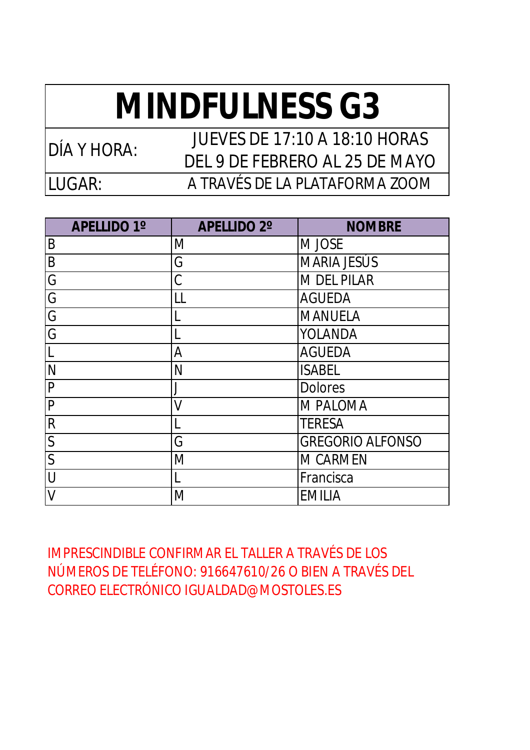# **MINDFULNESS G3**

LUGAR:

DÍA Y HORA: JUEVES DE 17:10 A 18:10 HORAS DEL 9 DE FEBRERO AL 25 DE MAYO A TRAVÉS DE LA PLATAFORMA ZOOM

**APELLIDO 1º APELLIDO 2º NOMBRE** B M M M JOSE B **G** MARIA JESÚS G C C M DEL PILAR G LL AGUEDA G L L MANUELA G L VOLANDA L A AGUEDA N ISABEL P J Dolores P V WPALOMA R II TERESA S G GREGORIO ALFONSO M M CARMEN U L Erancisca

IMPRESCINDIBLE CONFIRMAR EL TALLER A TRAVÉS DE LOS NÚMEROS DE TELÉFONO: 916647610/26 O BIEN A TRAVÉS DEL CORREO ELECTRÓNICO [IGUALDAD@MOSTOLES.ES](mailto:IGUALDAD@MOSTOLES.ES)

V M EMILIA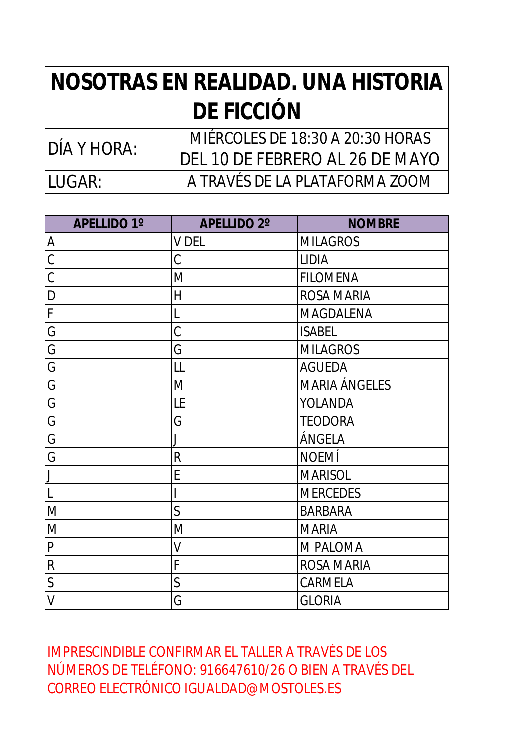#### **NOSOTRAS EN REALIDAD. UNA HISTORIA DE FICCIÓN**

LUGAR: MIÉRCOLES DE 18:30 A 20:30 HORAS<br>DÍA Y HORA: DEL 10 DE FEBRERO AL 26 DE MAYO A TRAVÉS DE LA PLATAFORMA ZOOM

| <b>APELLIDO 1°</b>      | <b>APELLIDO 2°</b> | <b>NOMBRE</b>        |
|-------------------------|--------------------|----------------------|
| $\overline{A}$          | <b>V DEL</b>       | <b>MILAGROS</b>      |
| $\overline{C}$          | C                  | <b>LIDIA</b>         |
| $\overline{C}$          | M                  | <b>FILOMENA</b>      |
| $\mathsf{D}$            | H                  | <b>ROSA MARIA</b>    |
| F                       | L                  | MAGDALENA            |
| $\overline{G}$          | C                  | <b>ISABEL</b>        |
| $\overline{G}$          | G                  | <b>MILAGROS</b>      |
| $\overline{G}$          | LL                 | <b>AGUEDA</b>        |
| $\overline{G}$          | M                  | <b>MARIA ÁNGELES</b> |
| G                       | LE                 | <b>YOLANDA</b>       |
| $\overline{G}$          | G                  | <b>TEODORA</b>       |
| $\overline{G}$          |                    | ÁNGELA               |
| G                       | $\mathsf{R}$       | <b>NOEMÍ</b>         |
| $\overline{\mathsf{L}}$ | E                  | <b>MARISOL</b>       |
| $\overline{\mathsf{L}}$ |                    | <b>MERCEDES</b>      |
| M                       | $\mathsf{S}$       | <b>BARBARA</b>       |
| M                       | M                  | <b>MARIA</b>         |
| ${\sf P}$               | V                  | M PALOMA             |
| $\overline{\mathsf{R}}$ | F                  | <b>ROSA MARIA</b>    |
| $\overline{S}$          | $\overline{S}$     | CARMELA              |
| $\vee$                  | G                  | <b>GLORIA</b>        |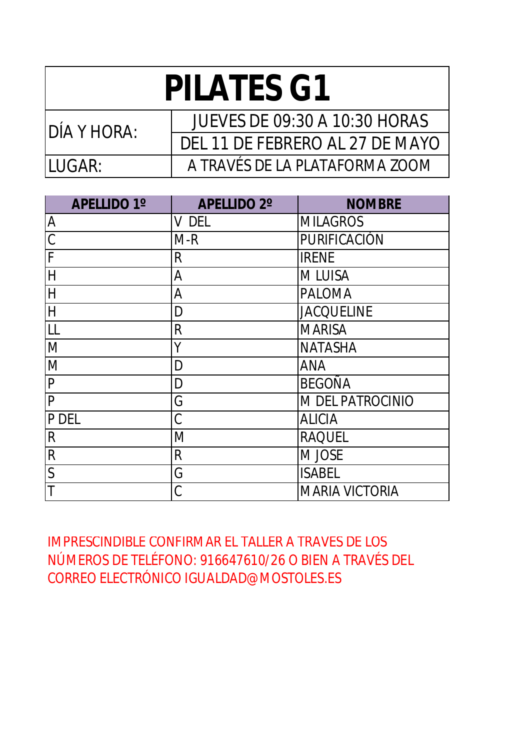| <b>PILATES G1</b> |                                      |  |
|-------------------|--------------------------------------|--|
| IDÍA Y HORA:      | <b>JUEVES DE 09:30 A 10:30 HORAS</b> |  |
|                   | DEL 11 DE FEBRERO AL 27 DE MAYO      |  |
| ILUGAR:           | A TRAVÉS DE LA PLATAFORMA ZOOM       |  |

| <b>APELLIDO 1°</b> | <b>APELLIDO 2°</b> | <b>NOMBRE</b>         |
|--------------------|--------------------|-----------------------|
| A                  | V DEL              | <b>MILAGROS</b>       |
| $\overline{C}$     | $M-R$              | PURIFICACIÓN          |
| F                  | R                  | <b>IRENE</b>          |
| $\overline{H}$     | A                  | <b>MLUISA</b>         |
| $\overline{H}$     | A                  | <b>PALOMA</b>         |
| $\overline{H}$     | D                  | <b>JACQUELINE</b>     |
| LL                 | $\mathsf{R}$       | <b>MARISA</b>         |
| M                  | Y                  | <b>NATASHA</b>        |
| M                  | D                  | <b>ANA</b>            |
| P                  | D                  | <b>BEGOÑA</b>         |
| P                  | G                  | M DEL PATROCINIO      |
| P DEL              | C                  | <b>ALICIA</b>         |
| R                  | M                  | <b>RAQUEL</b>         |
| R                  | $\mathsf{R}$       | M JOSE                |
| $\overline{S}$     | G                  | <b>ISABEL</b>         |
|                    | C                  | <b>MARIA VICTORIA</b> |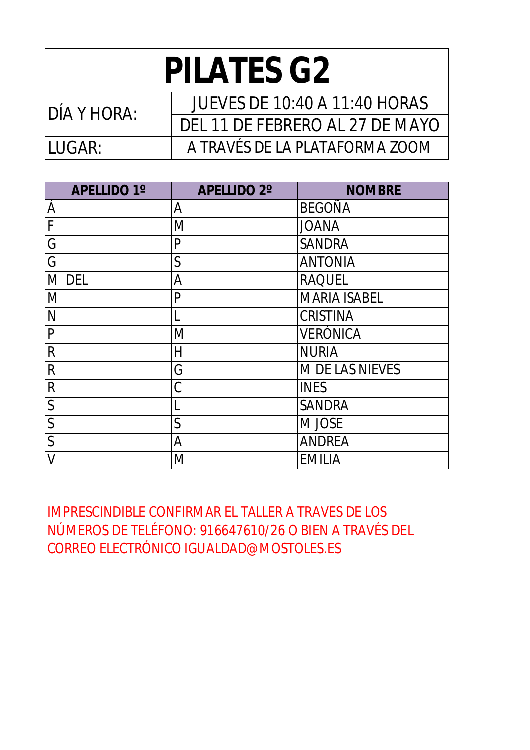| <b>PILATES G2</b> |                                 |  |
|-------------------|---------------------------------|--|
| IDÍA Y HORA:      | JUEVES DE 10:40 A 11:40 HORAS   |  |
|                   | DEL 11 DE FEBRERO AL 27 DE MAYO |  |
| II UGAR:          | A TRAVÉS DE LA PLATAFORMA ZOOM  |  |

| <b>APELLIDO 1°</b>      | <b>APELLIDO 2°</b> | <b>NOMBRE</b>       |
|-------------------------|--------------------|---------------------|
| Á                       | Α                  | <b>BEGOÑA</b>       |
| F                       | M                  | <b>JOANA</b>        |
| G                       | $\mathsf{P}$       | <b>SANDRA</b>       |
| G                       | $\overline{S}$     | <b>ANTONIA</b>      |
| <b>DEL</b><br>M         | Α                  | <b>RAQUEL</b>       |
| M                       | $\mathsf{P}$       | <b>MARIA ISABEL</b> |
| N                       |                    | <b>CRISTINA</b>     |
| P                       | M                  | <b>VERÓNICA</b>     |
| $\mathsf{R}$            | H                  | <b>NURIA</b>        |
| $\mathsf{R}$            | G                  | M DE LAS NIEVES     |
| $\mathsf{R}$            | C                  | <b>INES</b>         |
| $\mathsf{S}$            | L                  | <b>SANDRA</b>       |
| $\overline{\mathsf{S}}$ | $\mathsf S$        | M JOSE              |
| $\mathsf{S}$            | A                  | <b>ANDREA</b>       |
| V                       | M                  | <b>EMILIA</b>       |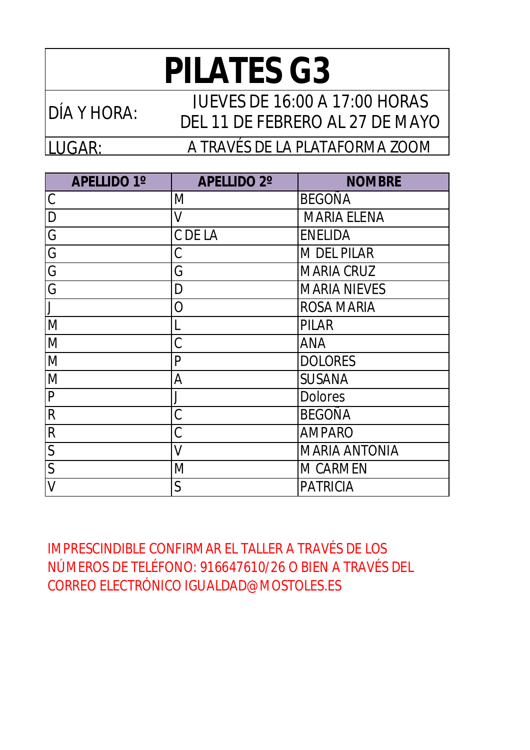## **PILATES G3**

LUGAR: DÍA Y HORA: JUEVES DE 16:00 A 17:00 HORAS DEL 11 DE FEBRERO AL 27 DE MAYO A TRAVÉS DE LA PLATAFORMA ZOOM

| <b>APELLIDO 1°</b> | <b>APELLIDO 2°</b> | <b>NOMBRE</b>        |
|--------------------|--------------------|----------------------|
| C                  | M                  | <b>BEGOÑA</b>        |
| D                  | V                  | <b>MARIA ELENA</b>   |
| G                  | C DE LA            | <b>ENELIDA</b>       |
| G                  | Ć                  | <b>M DEL PILAR</b>   |
| G                  | G                  | <b>MARIA CRUZ</b>    |
| G                  | D                  | <b>MARIA NIEVES</b>  |
|                    | O                  | <b>ROSA MARIA</b>    |
| M                  | L                  | <b>PILAR</b>         |
| M                  | C                  | <b>ANA</b>           |
| M                  | P                  | <b>DOLORES</b>       |
| M                  | A                  | <b>SUSANA</b>        |
| P                  |                    | <b>Dolores</b>       |
| R                  | C                  | <b>BEGOÑA</b>        |
| $\mathsf R$        | C                  | <b>AMPARO</b>        |
| $\mathsf{S}$       | $\overline{V}$     | <b>MARIA ANTONIA</b> |
| $\overline{S}$     | M                  | <b>M CARMEN</b>      |
| V                  | S                  | <b>PATRICIA</b>      |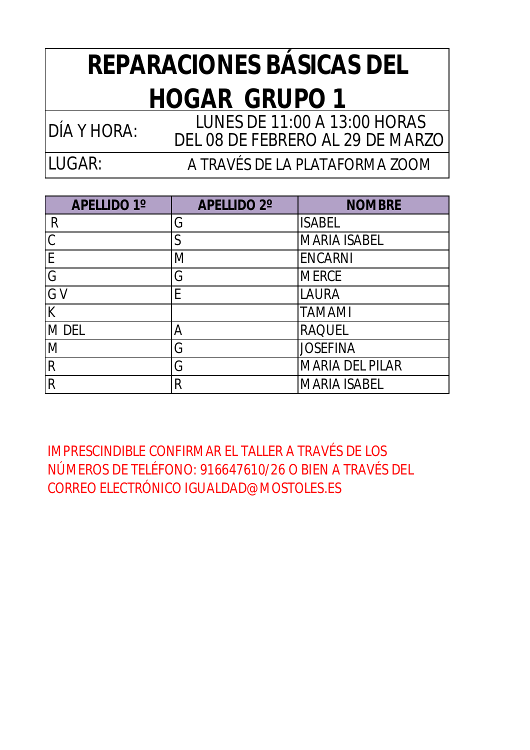### **REPARACIONES BÁSICAS DEL HOGAR GRUPO 1**

DÍA Y HORA: LUNES DE 11:00 A 13:00 HORAS DEL 08 DE FEBRERO AL 29 DE MARZO

LUGAR:

A TRAVÉS DE LA PLATAFORMA ZOOM

| <b>APELLIDO 1°</b> | <b>APELLIDO 2°</b> | <b>NOMBRE</b>          |
|--------------------|--------------------|------------------------|
| R                  | G                  | <b>ISABEL</b>          |
| $\mathcal{C}$      | S                  | <b>MARIA ISABEL</b>    |
| E                  | M                  | <b>ENCARNI</b>         |
| G                  | G                  | <b>MERCE</b>           |
| G V                | E                  | <b>LAURA</b>           |
| K                  |                    | <b>TAMAMI</b>          |
| M DEL              | Α                  | <b>RAQUEL</b>          |
| M                  | G                  | <b>JOSEFINA</b>        |
| $\mathsf{R}$       | G                  | <b>MARIA DEL PILAR</b> |
| R                  | R                  | <b>MARIA ISABEL</b>    |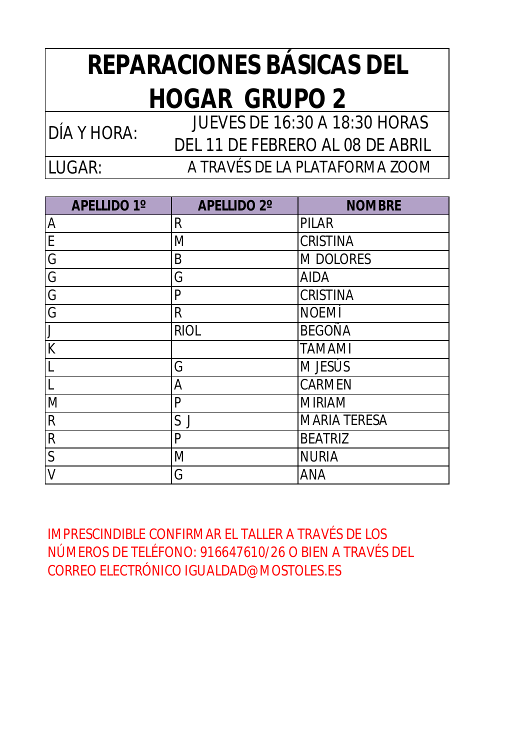### **REPARACIONES BÁSICAS DEL HOGAR GRUPO 2**

LUGAR: DÍA Y HORA: JUEVES DE 16:30 A 18:30 HORAS DEL 11 DE FEBRERO AL 08 DE ABRIL A TRAVÉS DE LA PLATAFORMA ZOOM

| <b>APELLIDO 1°</b> | <b>APELLIDO 2°</b> | <b>NOMBRE</b>       |
|--------------------|--------------------|---------------------|
| A                  | $\mathsf{R}$       | <b>PILAR</b>        |
| E                  | M                  | <b>CRISTINA</b>     |
| G                  | B                  | <b>M DOLORES</b>    |
| G                  | G                  | <b>AIDA</b>         |
| G                  | P                  | <b>CRISTINA</b>     |
| G                  | $\mathsf{R}$       | <b>NOEMÍ</b>        |
|                    | <b>RIOL</b>        | <b>BEGOÑA</b>       |
| K                  |                    | <b>TAMAMI</b>       |
| L                  | G                  | M JESÚS             |
|                    | A                  | <b>CARMEN</b>       |
| M                  | $\mathsf{P}$       | <b>MIRIAM</b>       |
| $\mathsf{R}$       | S J                | <b>MARIA TERESA</b> |
| $\mathsf R$        | $\mathsf{P}$       | <b>BEATRIZ</b>      |
| $\mathsf{S}$       | M                  | <b>NURIA</b>        |
| V                  | G                  | <b>ANA</b>          |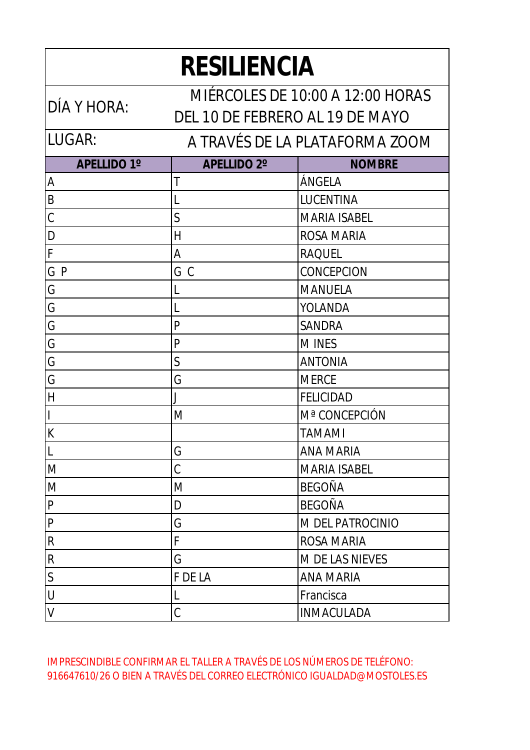| <b>RESILIENCIA</b>                              |                                 |                                  |  |
|-------------------------------------------------|---------------------------------|----------------------------------|--|
|                                                 |                                 | MIÉRCOLES DE 10:00 A 12:00 HORAS |  |
| DÍA Y HORA:                                     | DEL 10 DE FEBRERO AL 19 DE MAYO |                                  |  |
| LUGAR:                                          |                                 | A TRAVÉS DE LA PLATAFORMA ZOOM   |  |
| <b>APELLIDO 1°</b>                              | <b>APELLIDO 2°</b>              | <b>NOMBRE</b>                    |  |
| A                                               | Т                               | ÁNGELA                           |  |
| $\frac{B}{A}$                                   |                                 | LUCENTINA                        |  |
| $\overline{\overline{\mathcal{C}}}$             | S                               | <b>MARIA ISABEL</b>              |  |
| $\frac{\mathsf{D}}{\mathsf{F}}$                 | Η                               | <b>ROSA MARIA</b>                |  |
|                                                 | Α                               | <b>RAQUEL</b>                    |  |
| $\overline{\mathsf{G}}$ $\overline{\mathsf{P}}$ | G<br>$\mathcal{C}$              | CONCEPCION                       |  |
| Ġ                                               |                                 | <b>MANUELA</b>                   |  |
| G                                               |                                 | YOLANDA                          |  |
| G                                               | $\mathsf{P}$                    | <b>SANDRA</b>                    |  |
| Ġ                                               | $\mathsf{P}$                    | <b>MINES</b>                     |  |
| G                                               | $\mathsf{S}$                    | <b>ANTONIA</b>                   |  |
| Ġ                                               | G                               | <b>MERCE</b>                     |  |
| H                                               | J                               | <b>FELICIDAD</b>                 |  |
| I                                               | M                               | Mª CONCEPCIÓN                    |  |
| $\overline{\mathsf{K}}$                         |                                 | <b>TAMAMI</b>                    |  |
| L                                               | G                               | <b>ANA MARIA</b>                 |  |
| M                                               | Ć                               | <b>MARIA ISABEL</b>              |  |
| M                                               | M                               | <b>BEGOÑA</b>                    |  |
| P                                               | D                               | <b>BEGOÑA</b>                    |  |
| P                                               | G                               | M DEL PATROCINIO                 |  |
| R                                               | F                               | <b>ROSA MARIA</b>                |  |
| R                                               | G                               | M DE LAS NIEVES                  |  |
| S                                               | F DE LA                         | <b>ANA MARIA</b>                 |  |
| U                                               |                                 | Francisca                        |  |
| V                                               | C                               | <b>INMACULADA</b>                |  |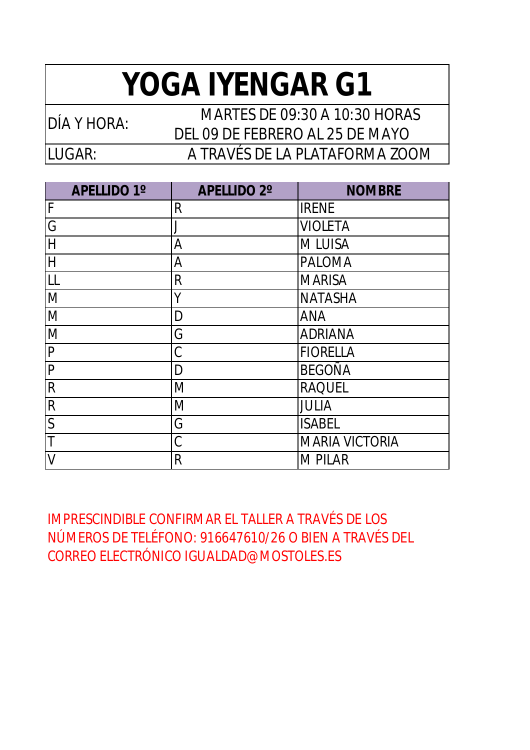## **YOGA IYENGAR G1**

LUGAR: DÍA Y HORA: MARTES DE 09:30 A 10:30 HORAS DEL 09 DE FEBRERO AL 25 DE MAYO A TRAVÉS DE LA PLATAFORMA ZOOM

| <b>APELLIDO 1°</b>                 | <b>APELLIDO 2°</b> | <b>NOMBRE</b>         |
|------------------------------------|--------------------|-----------------------|
| $\overline{F}$                     | R                  | <b>IRENE</b>          |
| G                                  |                    | <b>VIOLETA</b>        |
| H                                  | A                  | <b>MLUISA</b>         |
| $\overline{\overline{\mathsf{H}}}$ | Α                  | <b>PALOMA</b>         |
| LL                                 | R                  | <b>MARISA</b>         |
| M                                  | Y                  | <b>NATASHA</b>        |
| M                                  | D                  | <b>ANA</b>            |
| M                                  | G                  | <b>ADRIANA</b>        |
| $\overline{P}$                     | C                  | <b>FIORELLA</b>       |
| $\overline{P}$                     | D                  | <b>BEGOÑA</b>         |
| $\mathsf{R}$                       | M                  | <b>RAQUEL</b>         |
| $\overline{R}$                     | M                  | <b>JULIA</b>          |
| $\overline{\mathsf{S}}$            | G                  | <b>ISABEL</b>         |
| $\mathsf T$                        | C                  | <b>MARIA VICTORIA</b> |
| $\overline{V}$                     | R                  | <b>M PILAR</b>        |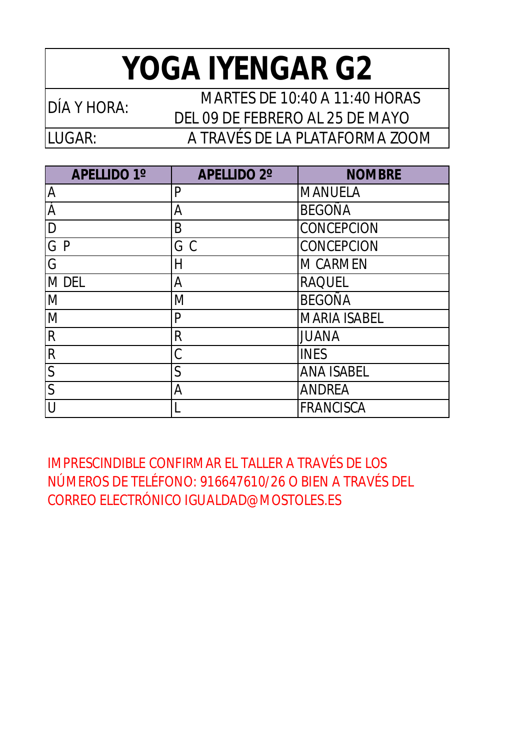## **YOGA IYENGAR G2**

LUGAR:

DÍA Y HORA: MARTES DE 10:40 A 11:40 HORAS DEL 09 DE FEBRERO AL 25 DE MAYO A TRAVÉS DE LA PLATAFORMA ZOOM

| <b>APELLIDO 1°</b> | <b>APELLIDO 2°</b> | <b>NOMBRE</b>       |
|--------------------|--------------------|---------------------|
| A                  | P                  | <b>MANUELA</b>      |
| Á                  | Α                  | <b>BEGOÑA</b>       |
| D                  | B                  | CONCEPCION          |
| G P                | GC                 | CONCEPCION          |
| G                  | Н                  | <b>M CARMEN</b>     |
| <b>MDEL</b>        | A                  | <b>RAQUEL</b>       |
| M                  | M                  | <b>BEGOÑA</b>       |
| M                  | P                  | <b>MARIA ISABEL</b> |
| $\mathsf{R}$       | $\mathsf{R}$       | <b>JUANA</b>        |
| $\mathsf{R}$       | C                  | <b>INES</b>         |
| $\mathsf{S}$       | S                  | <b>ANA ISABEL</b>   |
| $\overline{S}$     | Α                  | <b>ANDREA</b>       |
|                    |                    | <b>FRANCISCA</b>    |